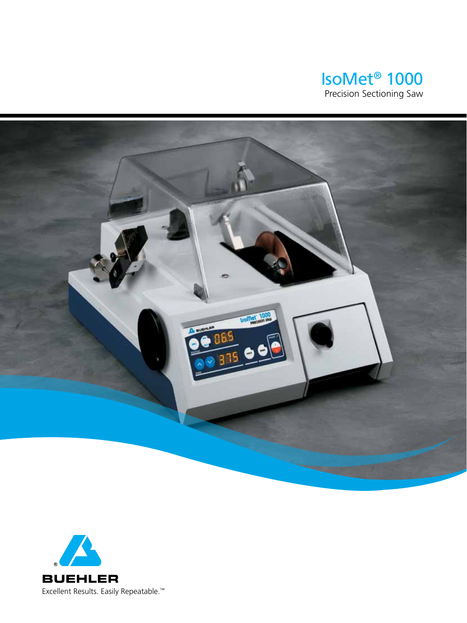



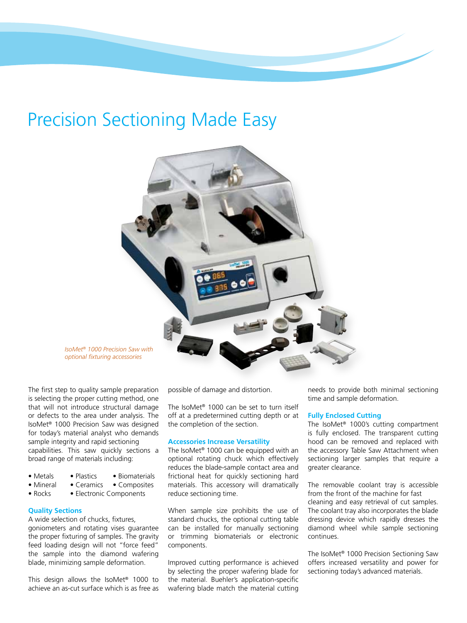# Precision Sectioning Made Easy



*IsoMet® 1000 Precision Saw with optional fixturing accessories*

The first step to quality sample preparation is selecting the proper cutting method, one that will not introduce structural damage or defects to the area under analysis. The IsoMet® 1000 Precision Saw was designed for today's material analyst who demands sample integrity and rapid sectioning capabilities. This saw quickly sections a broad range of materials including:

- Metals Plastics Biomaterials
- Mineral Ceramics Composites
- Rocks Electronic Components

### **Quality Sections**

A wide selection of chucks, fixtures, goniometers and rotating vises guarantee the proper fixturing of samples. The gravity feed loading design will not "force feed" the sample into the diamond wafering blade, minimizing sample deformation.

This design allows the IsoMet® 1000 to achieve an as-cut surface which is as free as possible of damage and distortion.

The IsoMet® 1000 can be set to turn itself off at a predetermined cutting depth or at the completion of the section.

### **Accessories Increase Versatility**

The IsoMet® 1000 can be equipped with an optional rotating chuck which effectively reduces the blade-sample contact area and frictional heat for quickly sectioning hard materials. This accessory will dramatically reduce sectioning time.

When sample size prohibits the use of standard chucks, the optional cutting table can be installed for manually sectioning or trimming biomaterials or electronic components.

Improved cutting performance is achieved by selecting the proper wafering blade for the material. Buehler's application-specific wafering blade match the material cutting needs to provide both minimal sectioning time and sample deformation.

# **Fully Enclosed Cutting**

The IsoMet® 1000's cutting compartment is fully enclosed. The transparent cutting hood can be removed and replaced with the accessory Table Saw Attachment when sectioning larger samples that require a greater clearance.

The removable coolant tray is accessible from the front of the machine for fast cleaning and easy retrieval of cut samples. The coolant tray also incorporates the blade dressing device which rapidly dresses the diamond wheel while sample sectioning continues.

The IsoMet® 1000 Precision Sectioning Saw offers increased versatility and power for sectioning today's advanced materials.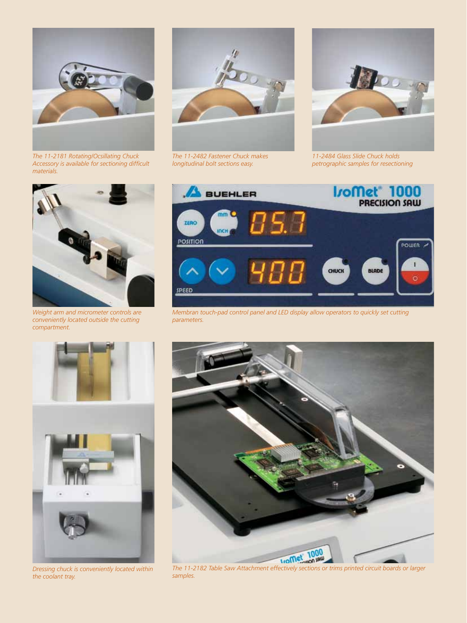

*The 11-2181 Rotating/Ocsillating Chuck Accessory is available for sectioning difficult materials.*



*Weight arm and micrometer controls are conveniently located outside the cutting compartment.*



*The 11-2482 Fastener Chuck makes longitudinal bolt sections easy.*



*11-2484 Glass Slide Chuck holds petrographic samples for resectioning*



*Membran touch-pad control panel and LED display allow operators to quickly set cutting parameters.*





*Dressing chuck is conveniently located within the coolant tray.*



*The 11-2182 Table Saw Attachment effectively sections or trims printed circuit boards or larger samples.*